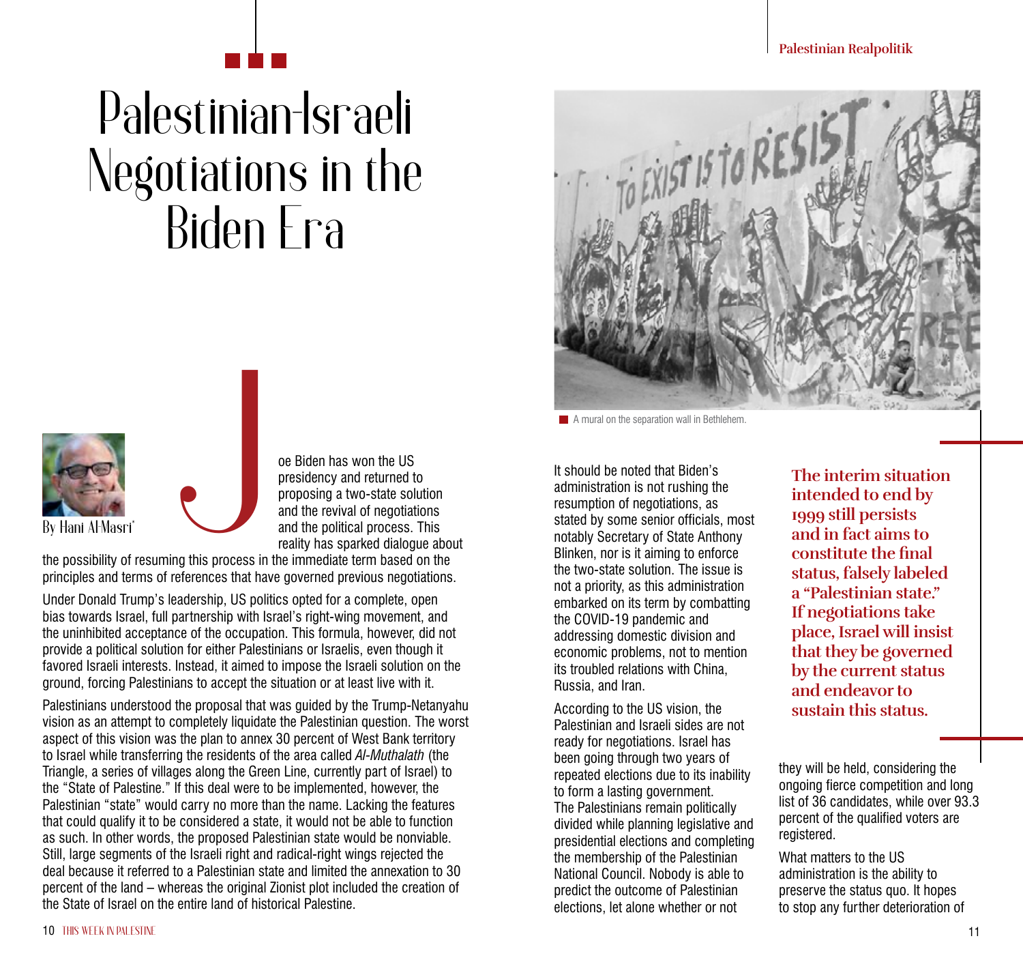## Palestinian**-**Israeli Negotiations in the Biden Era



A mural on the separation wall in Bethlehem.





reality has sparked dialogue about the possibility of resuming this process in the immediate term based on the principles and terms of references that have governed previous negotiations.

oe Biden has won the US presidency and returned to proposing a two-state solution and the revival of negotiations and the political process. This

Under Donald Trump's leadership, US politics opted for a complete, open bias towards Israel, full partnership with Israel's right-wing movement, and the uninhibited acceptance of the occupation. This formula, however, did not provide a political solution for either Palestinians or Israelis, even though it favored Israeli interests. Instead, it aimed to impose the Israeli solution on the ground, forcing Palestinians to accept the situation or at least live with it.

Palestinians understood the proposal that was guided by the Trump-Netanyahu vision as an attempt to completely liquidate the Palestinian question. The worst aspect of this vision was the plan to annex 30 percent of West Bank territory to Israel while transferring the residents of the area called *Al-Muthalath* (the Triangle, a series of villages along the Green Line, currently part of Israel) to the "State of Palestine." If this deal were to be implemented, however, the Palestinian "state" would carry no more than the name. Lacking the features that could qualify it to be considered a state, it would not be able to function as such. In other words, the proposed Palestinian state would be nonviable. Still, large segments of the Israeli right and radical-right wings rejected the deal because it referred to a Palestinian state and limited the annexation to 30 percent of the land – whereas the original Zionist plot included the creation of the State of Israel on the entire land of historical Palestine.

**By Hanither Al-Masri<sup>1</sup> (a) the Definite Mass won the US**<br>Biden has won the US<br>presidency and returned to<br>proposing a two-state solution<br>and the revival of negotiations and the revival of negotiations<br>and the revival of n administration is not rushing the resumption of negotiations, as stated by some senior officials, most notably Secretary of State Anthony Blinken, nor is it aiming to enforce the two-state solution. The issue is not a priority, as this administration embarked on its term by combatting the COVID-19 pandemic and addressing domestic division and economic problems, not to mention its troubled relations with China, Russia, and Iran.

> According to the US vision, the Palestinian and Israeli sides are not ready for negotiations. Israel has been going through two years of repeated elections due to its inability to form a lasting government. The Palestinians remain politically divided while planning legislative and presidential elections and completing the membership of the Palestinian National Council. Nobody is able to predict the outcome of Palestinian elections, let alone whether or not

**The interim situation intended to end by 1999 still persists and in fact aims to constitute the final status, falsely labeled a "Palestinian state." If negotiations take place, Israel will insist that they be governed by the current status and endeavor to sustain this status.** 

they will be held, considering the ongoing fierce competition and long list of 36 candidates, while over 93.3 percent of the qualified voters are registered.

What matters to the US administration is the ability to preserve the status quo. It hopes to stop any further deterioration of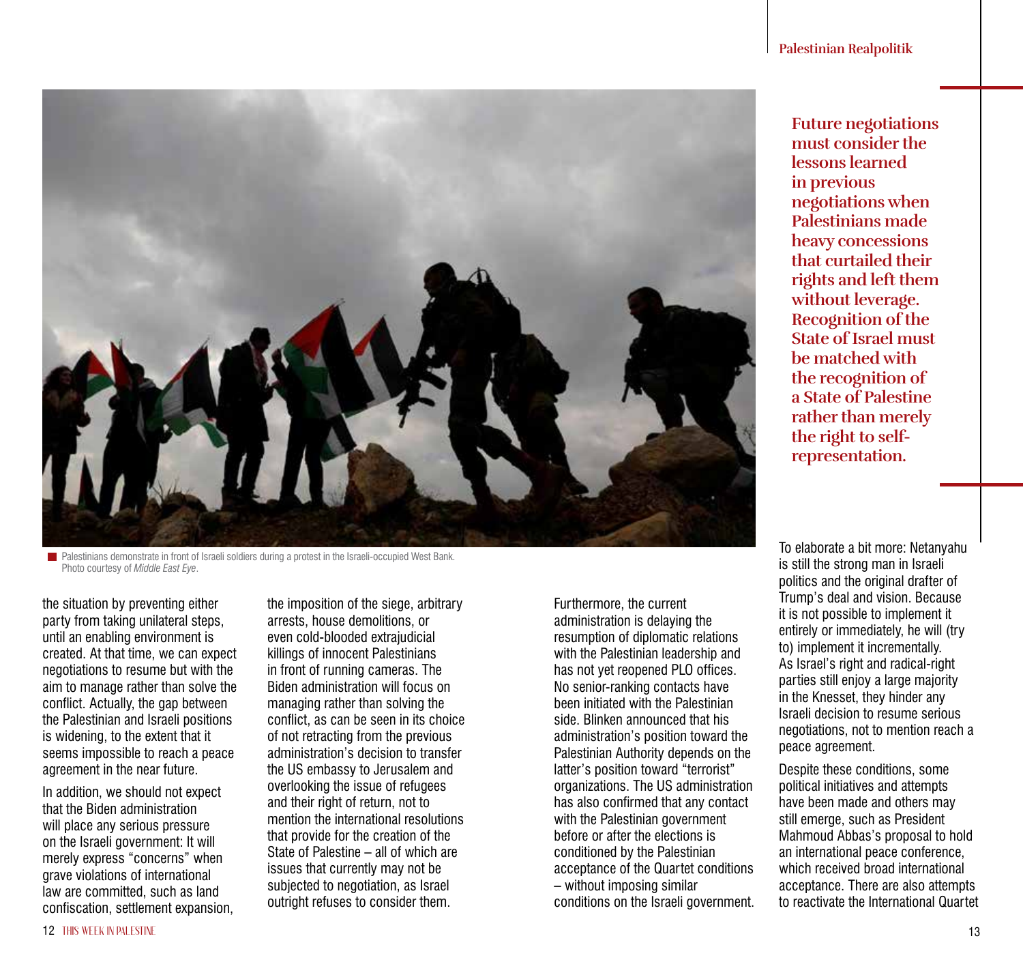

**Palestinians demonstrate in front of Israeli soldiers during a protest in the Israeli-occupied West Bank.** Photo courtesy of *Middle East Eye*.

the situation by preventing either party from taking unilateral steps, until an enabling environment is created. At that time, we can expect negotiations to resume but with the aim to manage rather than solve the conflict. Actually, the gap between the Palestinian and Israeli positions is widening, to the extent that it seems impossible to reach a peace agreement in the near future.

In addition, we should not expect that the Biden administration will place any serious pressure on the Israeli government: It will merely express "concerns" when grave violations of international law are committed, such as land confiscation, settlement expansion, the imposition of the siege, arbitrary arrests, house demolitions, or even cold-blooded extrajudicial killings of innocent Palestinians in front of running cameras. The Biden administration will focus on managing rather than solving the conflict, as can be seen in its choice of not retracting from the previous administration's decision to transfer the US embassy to Jerusalem and overlooking the issue of refugees and their right of return, not to mention the international resolutions that provide for the creation of the State of Palestine – all of which are issues that currently may not be subjected to negotiation, as Israel outright refuses to consider them.

Furthermore, the current administration is delaying the resumption of diplomatic relations with the Palestinian leadership and has not yet reopened PLO offices. No senior-ranking contacts have been initiated with the Palestinian side. Blinken announced that his administration's position toward the Palestinian Authority depends on the latter's position toward "terrorist" organizations. The US administration has also confirmed that any contact with the Palestinian government before or after the elections is conditioned by the Palestinian acceptance of the Quartet conditions – without imposing similar conditions on the Israeli government.

**Future negotiations must consider the lessons learned in previous negotiations when Palestinians made heavy concessions that curtailed their rights and left them without leverage. Recognition of the State of Israel must be matched with the recognition of a State of Palestine rather than merely the right to selfrepresentation.**

To elaborate a bit more: Netanyahu is still the strong man in Israeli politics and the original drafter of Trump's deal and vision. Because it is not possible to implement it entirely or immediately, he will (try to) implement it incrementally. As Israel's right and radical-right parties still enjoy a large majority in the Knesset, they hinder any Israeli decision to resume serious negotiations, not to mention reach a peace agreement.

Despite these conditions, some political initiatives and attempts have been made and others may still emerge, such as President Mahmoud Abbas's proposal to hold an international peace conference, which received broad international acceptance. There are also attempts to reactivate the International Quartet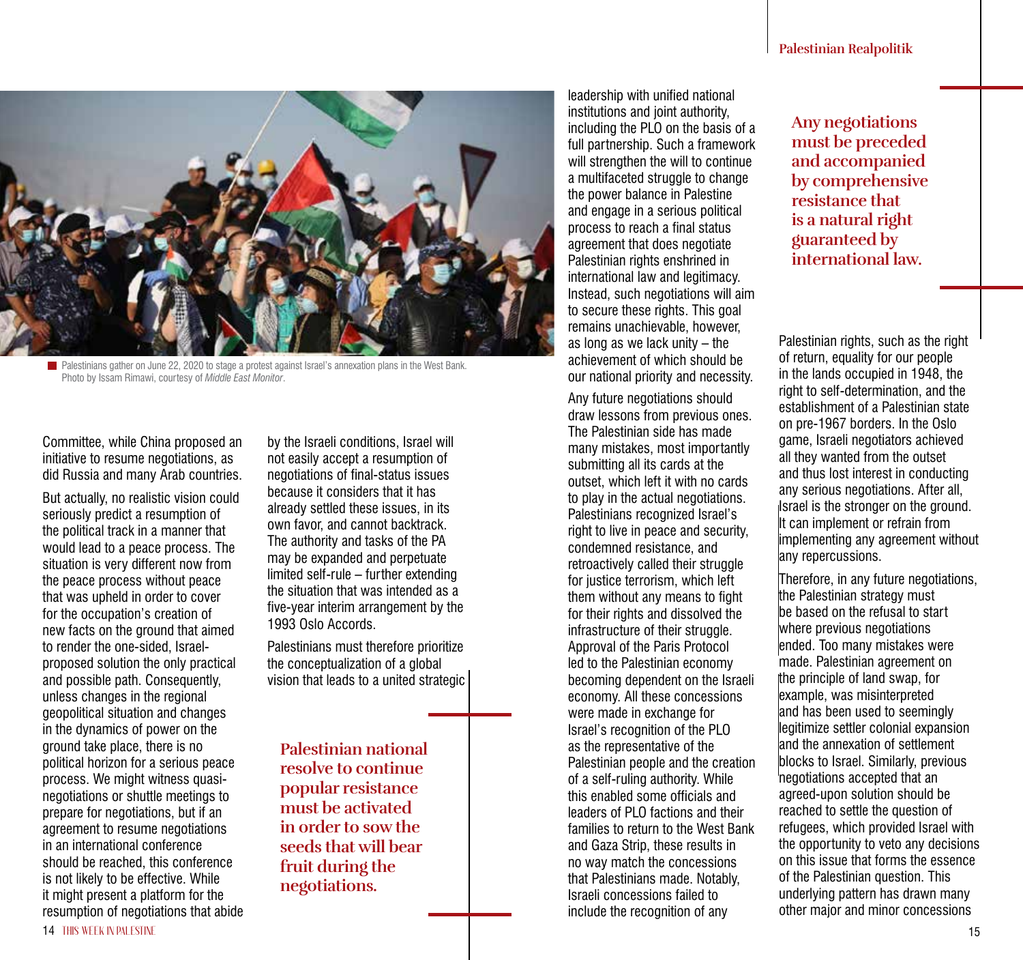

Palestinians gather on June 22, 2020 to stage a protest against Israel's annexation plans in the West Bank. Photo by Issam Rimawi, courtesy of *Middle East Monitor*.

Committee, while China proposed an initiative to resume negotiations, as did Russia and many Arab countries.

14 **THIS WEEK IN PALESTINE** 15 But actually, no realistic vision could seriously predict a resumption of the political track in a manner that would lead to a peace process. The situation is very different now from the peace process without peace that was upheld in order to cover for the occupation's creation of new facts on the ground that aimed to render the one-sided, Israelproposed solution the only practical and possible path. Consequently, unless changes in the regional geopolitical situation and changes in the dynamics of power on the ground take place, there is no political horizon for a serious peace process. We might witness quasinegotiations or shuttle meetings to prepare for negotiations, but if an agreement to resume negotiations in an international conference should be reached, this conference is not likely to be effective. While it might present a platform for the resumption of negotiations that abide

by the Israeli conditions, Israel will not easily accept a resumption of negotiations of final-status issues because it considers that it has already settled these issues, in its own favor, and cannot backtrack. The authority and tasks of the PA may be expanded and perpetuate limited self-rule – further extending the situation that was intended as a five-year interim arrangement by the 1993 Oslo Accords.

Palestinians must therefore prioritize the conceptualization of a global vision that leads to a united strategic

**Palestinian national resolve to continue popular resistance must be activated in order to sow the seeds that will bear fruit during the negotiations.**

leadership with unified national institutions and joint authority, including the PLO on the basis of a full partnership. Such a framework will strengthen the will to continue a multifaceted struggle to change the power balance in Palestine and engage in a serious political process to reach a final status agreement that does negotiate Palestinian rights enshrined in international law and legitimacy. Instead, such negotiations will aim to secure these rights. This goal remains unachievable, however, as long as we lack unity – the achievement of which should be our national priority and necessity.

Any future negotiations should draw lessons from previous ones. The Palestinian side has made many mistakes, most importantly submitting all its cards at the outset, which left it with no cards to play in the actual negotiations. Palestinians recognized Israel's right to live in peace and security, condemned resistance, and retroactively called their struggle for justice terrorism, which left them without any means to fight for their rights and dissolved the infrastructure of their struggle. Approval of the Paris Protocol led to the Palestinian economy becoming dependent on the Israeli economy. All these concessions were made in exchange for Israel's recognition of the PLO as the representative of the Palestinian people and the creation of a self-ruling authority. While this enabled some officials and leaders of PLO factions and their families to return to the West Bank and Gaza Strip, these results in no way match the concessions that Palestinians made. Notably, Israeli concessions failed to include the recognition of any

**Any negotiations must be preceded and accompanied by comprehensive resistance that is a natural right guaranteed by international law.**

Palestinian rights, such as the right of return, equality for our people in the lands occupied in 1948, the right to self-determination, and the establishment of a Palestinian state on pre-1967 borders. In the Oslo game, Israeli negotiators achieved all they wanted from the outset and thus lost interest in conducting any serious negotiations. After all, Israel is the stronger on the ground. It can implement or refrain from implementing any agreement without any repercussions.

Therefore, in any future negotiations, the Palestinian strategy must be based on the refusal to start where previous negotiations ended. Too many mistakes were made. Palestinian agreement on the principle of land swap, for example, was misinterpreted and has been used to seemingly legitimize settler colonial expansion and the annexation of settlement blocks to Israel. Similarly, previous negotiations accepted that an agreed-upon solution should be reached to settle the question of refugees, which provided Israel with the opportunity to veto any decisions on this issue that forms the essence of the Palestinian question. This underlying pattern has drawn many other major and minor concessions